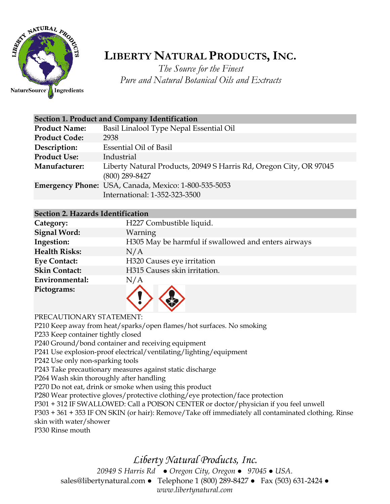

# **LIBERTY NATURAL PRODUCTS,INC.**

*The Source for the Finest Pure and Natural Botanical Oils and Extracts*

| Section 1. Product and Company Identification |                                                                                        |  |
|-----------------------------------------------|----------------------------------------------------------------------------------------|--|
| <b>Product Name:</b>                          | Basil Linalool Type Nepal Essential Oil                                                |  |
| <b>Product Code:</b>                          | 2938                                                                                   |  |
| Description:                                  | <b>Essential Oil of Basil</b>                                                          |  |
| <b>Product Use:</b>                           | Industrial                                                                             |  |
| Manufacturer:                                 | Liberty Natural Products, 20949 S Harris Rd, Oregon City, OR 97045<br>$(800)$ 289-8427 |  |
|                                               | Emergency Phone: USA, Canada, Mexico: 1-800-535-5053<br>International: 1-352-323-3500  |  |

### **Section 2. Hazards Identification**

| Category:            | H227 Combustible liquid.                            |
|----------------------|-----------------------------------------------------|
| <b>Signal Word:</b>  | <b>Warning</b>                                      |
| Ingestion:           | H305 May be harmful if swallowed and enters airways |
| <b>Health Risks:</b> | N/A                                                 |
| <b>Eye Contact:</b>  | H320 Causes eye irritation                          |
| <b>Skin Contact:</b> | H315 Causes skin irritation.                        |
| Environmental:       | N/A                                                 |
| Pictograms:          |                                                     |

PRECAUTIONARY STATEMENT:

P210 Keep away from heat/sparks/open flames/hot surfaces. No smoking

P233 Keep container tightly closed

P240 Ground/bond container and receiving equipment

P241 Use explosion-proof electrical/ventilating/lighting/equipment

P242 Use only non-sparking tools

P243 Take precautionary measures against static discharge

P264 Wash skin thoroughly after handling

P270 Do not eat, drink or smoke when using this product

P280 Wear protective gloves/protective clothing/eye protection/face protection

P301 + 312 IF SWALLOWED: Call a POISON CENTER or doctor/physician if you feel unwell

P303 + 361 + 353 IF ON SKIN (or hair): Remove/Take off immediately all contaminated clothing. Rinse skin with water/shower

P330 Rinse mouth

*Liberty Natural Products, Inc.* 

*20949 S Harris Rd ● Oregon City, Oregon ● 97045 ● USA.*  sales@libertynatural.com *●* Telephone 1 (800) 289-8427 ● Fax (503) 631-2424 *● www.libertynatural.com*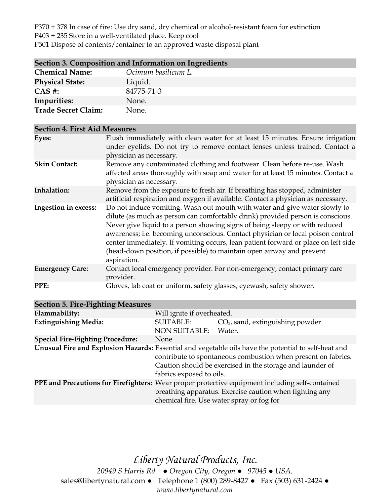P370 + 378 In case of fire: Use dry sand, dry chemical or alcohol-resistant foam for extinction

P403 + 235 Store in a well-ventilated place. Keep cool P501 Dispose of contents/container to an approved waste disposal plant

| Section 3. Composition and Information on Ingredients |                     |  |
|-------------------------------------------------------|---------------------|--|
| <b>Chemical Name:</b>                                 | Ocimum basilicum L. |  |
| <b>Physical State:</b>                                | Liquid.             |  |
| $CAS$ #:                                              | 84775-71-3          |  |
| Impurities:                                           | None.               |  |
| <b>Trade Secret Claim:</b>                            | None.               |  |

## **Section 4. First Aid Measures**

| Eyes:                       | Flush immediately with clean water for at least 15 minutes. Ensure irrigation<br>under eyelids. Do not try to remove contact lenses unless trained. Contact a<br>physician as necessary.                                                                                                                                                                                                                                                                                                                     |
|-----------------------------|--------------------------------------------------------------------------------------------------------------------------------------------------------------------------------------------------------------------------------------------------------------------------------------------------------------------------------------------------------------------------------------------------------------------------------------------------------------------------------------------------------------|
| <b>Skin Contact:</b>        | Remove any contaminated clothing and footwear. Clean before re-use. Wash<br>affected areas thoroughly with soap and water for at least 15 minutes. Contact a<br>physician as necessary.                                                                                                                                                                                                                                                                                                                      |
| Inhalation:                 | Remove from the exposure to fresh air. If breathing has stopped, administer<br>artificial respiration and oxygen if available. Contact a physician as necessary.                                                                                                                                                                                                                                                                                                                                             |
| <b>Ingestion in excess:</b> | Do not induce vomiting. Wash out mouth with water and give water slowly to<br>dilute (as much as person can comfortably drink) provided person is conscious.<br>Never give liquid to a person showing signs of being sleepy or with reduced<br>awareness; i.e. becoming unconscious. Contact physician or local poison control<br>center immediately. If vomiting occurs, lean patient forward or place on left side<br>(head-down position, if possible) to maintain open airway and prevent<br>aspiration. |
| <b>Emergency Care:</b>      | Contact local emergency provider. For non-emergency, contact primary care<br>provider.                                                                                                                                                                                                                                                                                                                                                                                                                       |
| PPE:                        | Gloves, lab coat or uniform, safety glasses, eyewash, safety shower.                                                                                                                                                                                                                                                                                                                                                                                                                                         |

| <b>Section 5. Fire-Fighting Measures</b> |                                                                                                                                                                                                                                                                |                                                                                                                                                                                                                |
|------------------------------------------|----------------------------------------------------------------------------------------------------------------------------------------------------------------------------------------------------------------------------------------------------------------|----------------------------------------------------------------------------------------------------------------------------------------------------------------------------------------------------------------|
| Flammability:                            | Will ignite if overheated.                                                                                                                                                                                                                                     |                                                                                                                                                                                                                |
| <b>Extinguishing Media:</b>              | <b>SUITABLE:</b><br><b>NON SUITABLE:</b>                                                                                                                                                                                                                       | $CO2$ , sand, extinguishing powder<br>Water.                                                                                                                                                                   |
| <b>Special Fire-Fighting Procedure:</b>  | None                                                                                                                                                                                                                                                           |                                                                                                                                                                                                                |
|                                          | Unusual Fire and Explosion Hazards: Essential and vegetable oils have the potential to self-heat and<br>contribute to spontaneous combustion when present on fabrics.<br>Caution should be exercised in the storage and launder of<br>fabrics exposed to oils. |                                                                                                                                                                                                                |
|                                          |                                                                                                                                                                                                                                                                | <b>PPE and Precautions for Firefighters:</b> Wear proper protective equipment including self-contained<br>breathing apparatus. Exercise caution when fighting any<br>chemical fire. Use water spray or fog for |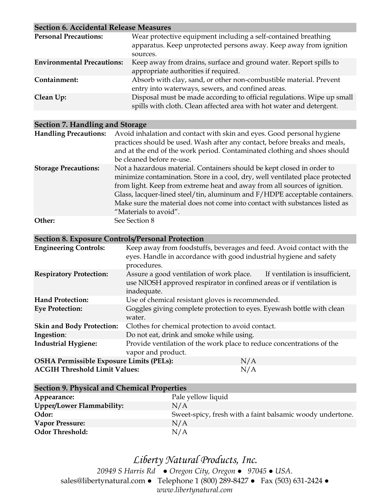#### **Section 6. Accidental Release Measures**

| <b>Personal Precautions:</b>      | Wear protective equipment including a self-contained breathing<br>apparatus. Keep unprotected persons away. Keep away from ignition<br>sources. |
|-----------------------------------|-------------------------------------------------------------------------------------------------------------------------------------------------|
| <b>Environmental Precautions:</b> | Keep away from drains, surface and ground water. Report spills to<br>appropriate authorities if required.                                       |
| Containment:                      | Absorb with clay, sand, or other non-combustible material. Prevent<br>entry into waterways, sewers, and confined areas.                         |
| Clean Up:                         | Disposal must be made according to official regulations. Wipe up small<br>spills with cloth. Clean affected area with hot water and detergent.  |

## **Section 7. Handling and Storage**

| <b>Handling Precautions:</b> | Avoid inhalation and contact with skin and eyes. Good personal hygiene<br>practices should be used. Wash after any contact, before breaks and meals,<br>and at the end of the work period. Contaminated clothing and shoes should<br>be cleaned before re-use.                                                                                                                                                             |
|------------------------------|----------------------------------------------------------------------------------------------------------------------------------------------------------------------------------------------------------------------------------------------------------------------------------------------------------------------------------------------------------------------------------------------------------------------------|
| <b>Storage Precautions:</b>  | Not a hazardous material. Containers should be kept closed in order to<br>minimize contamination. Store in a cool, dry, well ventilated place protected<br>from light. Keep from extreme heat and away from all sources of ignition.<br>Glass, lacquer-lined steel/tin, aluminum and F/HDPE acceptable containers.<br>Make sure the material does not come into contact with substances listed as<br>"Materials to avoid". |
| Other:                       | See Section 8                                                                                                                                                                                                                                                                                                                                                                                                              |

## **Section 8. Exposure Controls/Personal Protection**

| <b>Engineering Controls:</b>                    | Keep away from foodstuffs, beverages and feed. Avoid contact with the<br>eyes. Handle in accordance with good industrial hygiene and safety<br>procedures.      |
|-------------------------------------------------|-----------------------------------------------------------------------------------------------------------------------------------------------------------------|
| <b>Respiratory Protection:</b>                  | Assure a good ventilation of work place. If ventilation is insufficient,<br>use NIOSH approved respirator in confined areas or if ventilation is<br>inadequate. |
| <b>Hand Protection:</b>                         | Use of chemical resistant gloves is recommended.                                                                                                                |
| <b>Eye Protection:</b>                          | Goggles giving complete protection to eyes. Eyewash bottle with clean<br>water.                                                                                 |
| <b>Skin and Body Protection:</b>                | Clothes for chemical protection to avoid contact.                                                                                                               |
| Ingestion:                                      | Do not eat, drink and smoke while using.                                                                                                                        |
| <b>Industrial Hygiene:</b>                      | Provide ventilation of the work place to reduce concentrations of the<br>vapor and product.                                                                     |
| <b>OSHA Permissible Exposure Limits (PELs):</b> | N/A                                                                                                                                                             |
| <b>ACGIH Threshold Limit Values:</b>            | N/A                                                                                                                                                             |

| <b>Section 9. Physical and Chemical Properties</b> |                                                           |  |
|----------------------------------------------------|-----------------------------------------------------------|--|
| Appearance:                                        | Pale yellow liquid                                        |  |
| <b>Upper/Lower Flammability:</b>                   | N/A                                                       |  |
| Odor:                                              | Sweet-spicy, fresh with a faint balsamic woody undertone. |  |
| <b>Vapor Pressure:</b>                             | N/A                                                       |  |
| <b>Odor Threshold:</b>                             | N/A                                                       |  |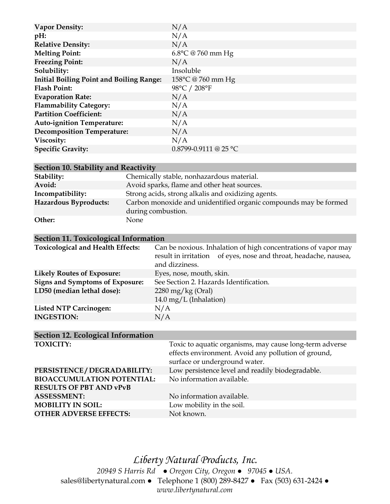| <b>Vapor Density:</b>                           | N/A                         |
|-------------------------------------------------|-----------------------------|
| $pH$ :                                          | N/A                         |
| <b>Relative Density:</b>                        | N/A                         |
| <b>Melting Point:</b>                           | $6.8^{\circ}$ C @ 760 mm Hg |
| <b>Freezing Point:</b>                          | N/A                         |
| Solubility:                                     | Insoluble                   |
| <b>Initial Boiling Point and Boiling Range:</b> | 158°C @ 760 mm Hg           |
| <b>Flash Point:</b>                             | 98°C / 208°F                |
| <b>Evaporation Rate:</b>                        | N/A                         |
| <b>Flammability Category:</b>                   | N/A                         |
| <b>Partition Coefficient:</b>                   | N/A                         |
| <b>Auto-ignition Temperature:</b>               | N/A                         |
| <b>Decomposition Temperature:</b>               | N/A                         |
| Viscosity:                                      | N/A                         |
| <b>Specific Gravity:</b>                        | 0.8799-0.9111 @ 25 °C       |

| <b>Section 10. Stability and Reactivity</b> |  |  |
|---------------------------------------------|--|--|
|---------------------------------------------|--|--|

| Stability:            | Chemically stable, nonhazardous material.                        |
|-----------------------|------------------------------------------------------------------|
| Avoid:                | Avoid sparks, flame and other heat sources.                      |
| Incompatibility:      | Strong acids, strong alkalis and oxidizing agents.               |
| Hazardous Byproducts: | Carbon monoxide and unidentified organic compounds may be formed |
|                       | during combustion.                                               |
| Other:                | <b>None</b>                                                      |

## **Section 11. Toxicological Information**

| <b>Toxicological and Health Effects:</b> | Can be noxious. Inhalation of high concentrations of vapor may<br>result in irritation of eyes, nose and throat, headache, nausea,<br>and dizziness. |
|------------------------------------------|------------------------------------------------------------------------------------------------------------------------------------------------------|
| <b>Likely Routes of Exposure:</b>        | Eyes, nose, mouth, skin.                                                                                                                             |
| Signs and Symptoms of Exposure:          | See Section 2. Hazards Identification.                                                                                                               |
| LD50 (median lethal dose):               | $2280 \text{ mg/kg (Oral)}$                                                                                                                          |
|                                          | $14.0 \text{ mg/L}$ (Inhalation)                                                                                                                     |
| <b>Listed NTP Carcinogen:</b>            | N/A                                                                                                                                                  |
| <b>INGESTION:</b>                        | N/A                                                                                                                                                  |

| <b>Section 12. Ecological Information</b> |  |
|-------------------------------------------|--|
| <b>TOXICITY:</b>                          |  |

| <b>TOXICITY:</b>                  | Toxic to aquatic organisms, may cause long-term adverse<br>effects environment. Avoid any pollution of ground,<br>surface or underground water. |
|-----------------------------------|-------------------------------------------------------------------------------------------------------------------------------------------------|
| PERSISTENCE / DEGRADABILITY:      | Low persistence level and readily biodegradable.                                                                                                |
| <b>BIOACCUMULATION POTENTIAL:</b> | No information available.                                                                                                                       |
| <b>RESULTS OF PBT AND vPvB</b>    |                                                                                                                                                 |
| <b>ASSESSMENT:</b>                | No information available.                                                                                                                       |
| <b>MOBILITY IN SOIL:</b>          | Low mobility in the soil.                                                                                                                       |
| <b>OTHER ADVERSE EFFECTS:</b>     | Not known.                                                                                                                                      |